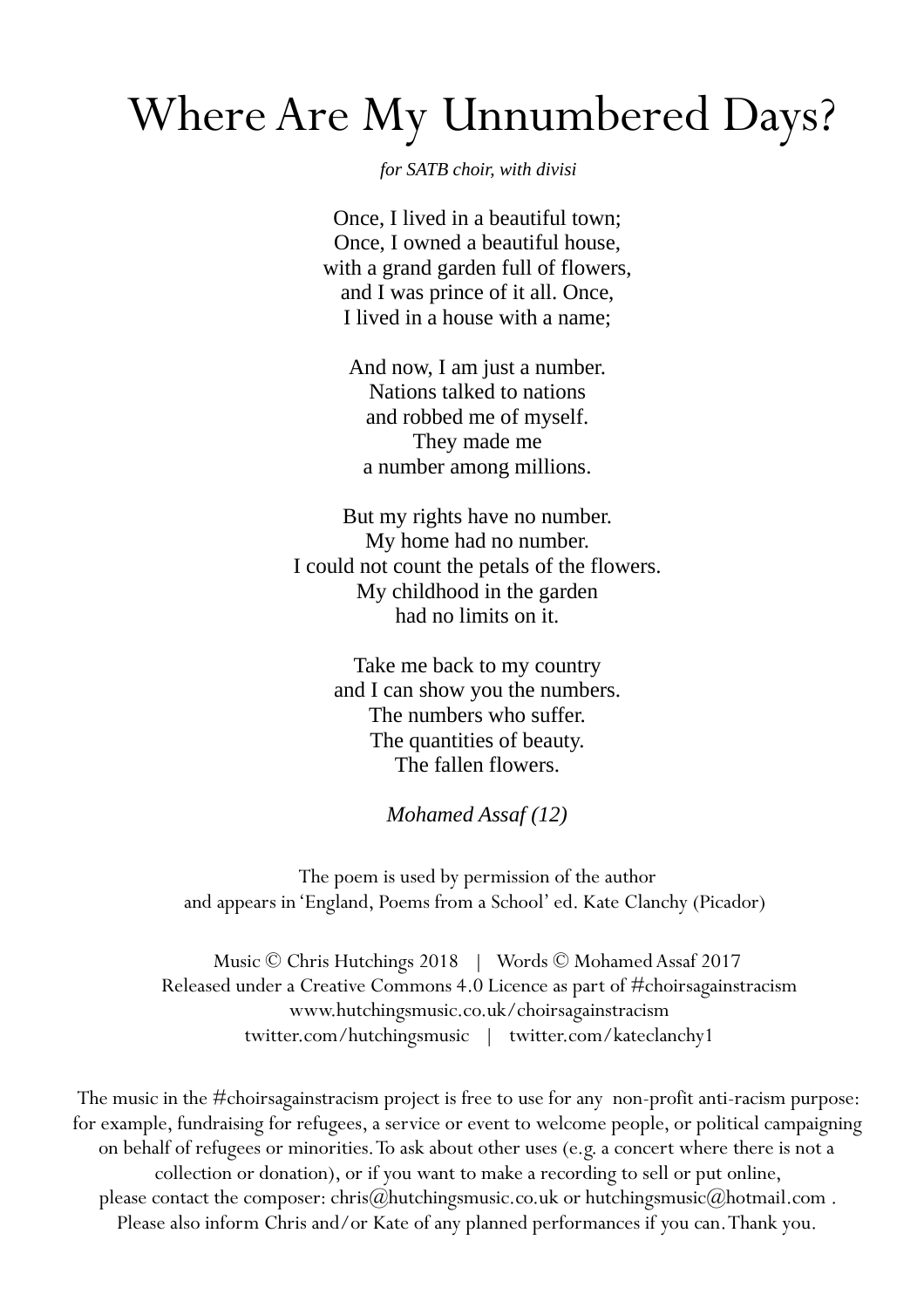## Where Are My Unnumbered Days?

*for SATB choir, with divisi*

Once, I lived in a beautiful town; Once, I owned a beautiful house, with a grand garden full of flowers, and I was prince of it all. Once, I lived in a house with a name;

And now, I am just a number. Nations talked to nations and robbed me of myself. They made me a number among millions.

But my rights have no number. My home had no number. I could not count the petals of the flowers. My childhood in the garden had no limits on it.

> Take me back to my country and I can show you the numbers. The numbers who suffer. The quantities of beauty. The fallen flowers.

> > *Mohamed Assaf (12)*

The poem is used by permission of the author and appears in 'England, Poems from a School' ed. Kate Clanchy (Picador)

Music © Chris Hutchings 2018 | Words © Mohamed Assaf 2017 Released under a Creative Commons 4.0 Licence as part of #choirsagainstracism www.hutchingsmusic.co.uk/choirsagainstracism twitter.com/hutchingsmusic | twitter.com/kateclanchy1

The music in the #choirsagainstracism project is free to use for any non-profit anti-racism purpose: for example, fundraising for refugees, a service or event to welcome people, or political campaigning on behalf of refugees or minorities. To ask about other uses (e.g. a concert where there is not a collection or donation), or if you want to make a recording to sell or put online, please contact the composer: chris@hutchingsmusic.co.uk or hutchingsmusic@hotmail.com. Please also inform Chris and/or Kate of any planned performances if you can. Thank you.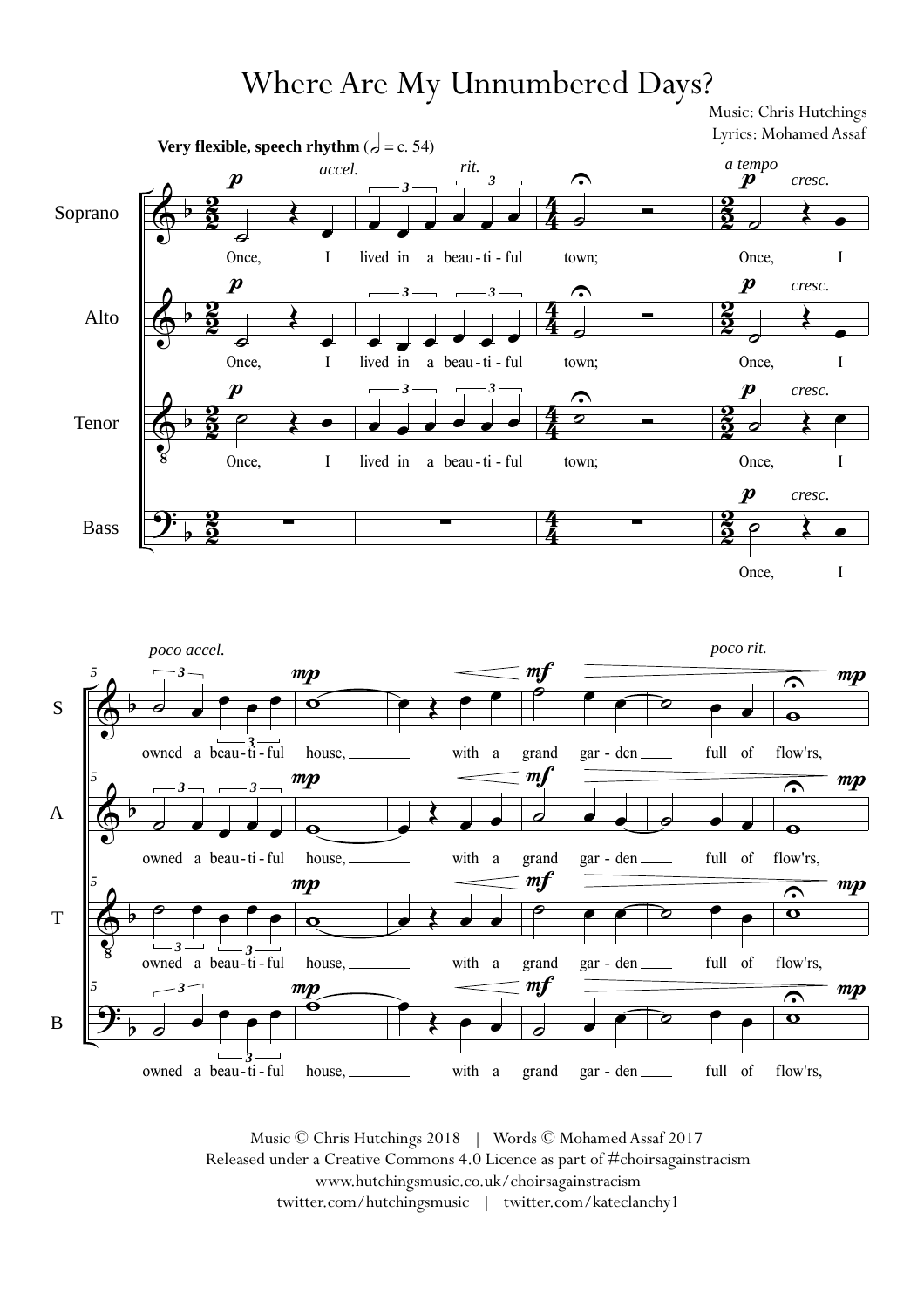## Where Are My Unnumbered Days?

Music: Chris Hutchings Lyrics: Mohamed Assaf



 $\pmb{\Phi}$  $\pmb{\mathbb{\Theta}}$ <u>.</u> b b b A T B *5* ˙ œ œ œ œ *3 3* owned a beau-ti-ful *5*  $\overline{\mathscr{E}}$ œ œ œ *3 3* owned a beau-ti-ful *5*  $\overline{\bullet}$ œ œ œ œ *3*  $\overline{3 - 3}$ <br>owned a beau-ti-ful w house,  $\overline{\mathbf{C}}$ house,  $\frac{\nu}{6}$ house,  $mp$  $mp$  $\frac{mp}{2}$ œ Œ œ œ with a  $\bullet$   $\overrightarrow{}}$   $\bullet$   $\bullet$ with a œ  $\epsilon$  equals with a ˙ œ œ grand gar - den  $^{\circ}$   $^{\circ}$   $^{\circ}$   $^{\circ}$ grand gar - den ˙ œ œ grand gar - den  $m f$  $m f$  $m f$ ˙ œ œ full of  $\circ$   $\bullet$ œ full of  $\circ$   $\bullet$ œ full of  $\overline{\mathbf{o}}$ r. flow'rs,  $\overline{\mathbf{o}}$  $\widehat{\phantom{a}}$ flow'rs,  $\bullet$  $\curvearrowright$ flow'rs,  $mp$  $mp$  $mp$ 

> Music © Chris Hutchings 2018 | Words © Mohamed Assaf 2017 Released under a Creative Commons 4.0 Licence as part of #choirsagainstracism www.hutchingsmusic.co.uk/choirsagainstracism twitter.com/hutchingsmusic | twitter.com/kateclanchy1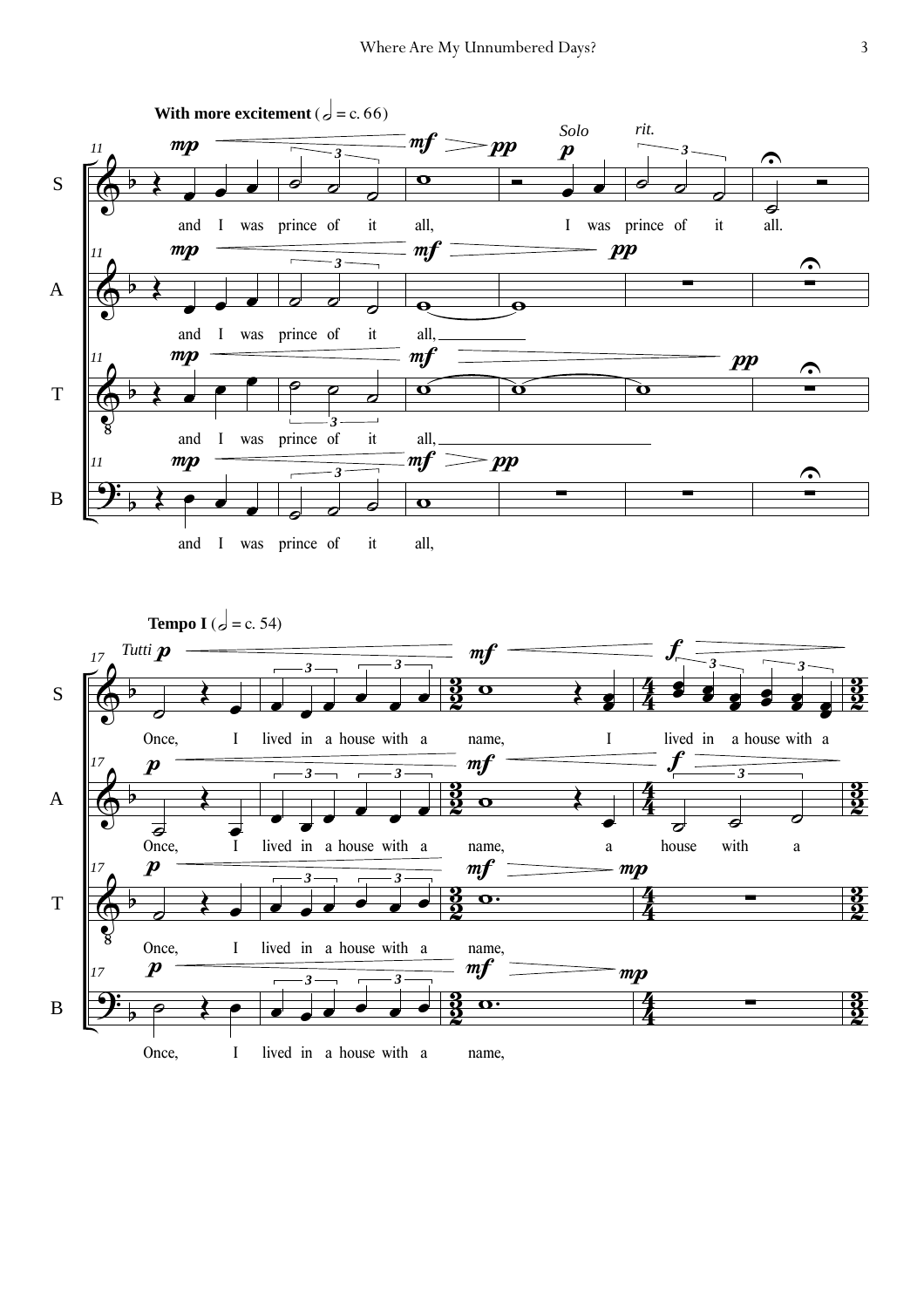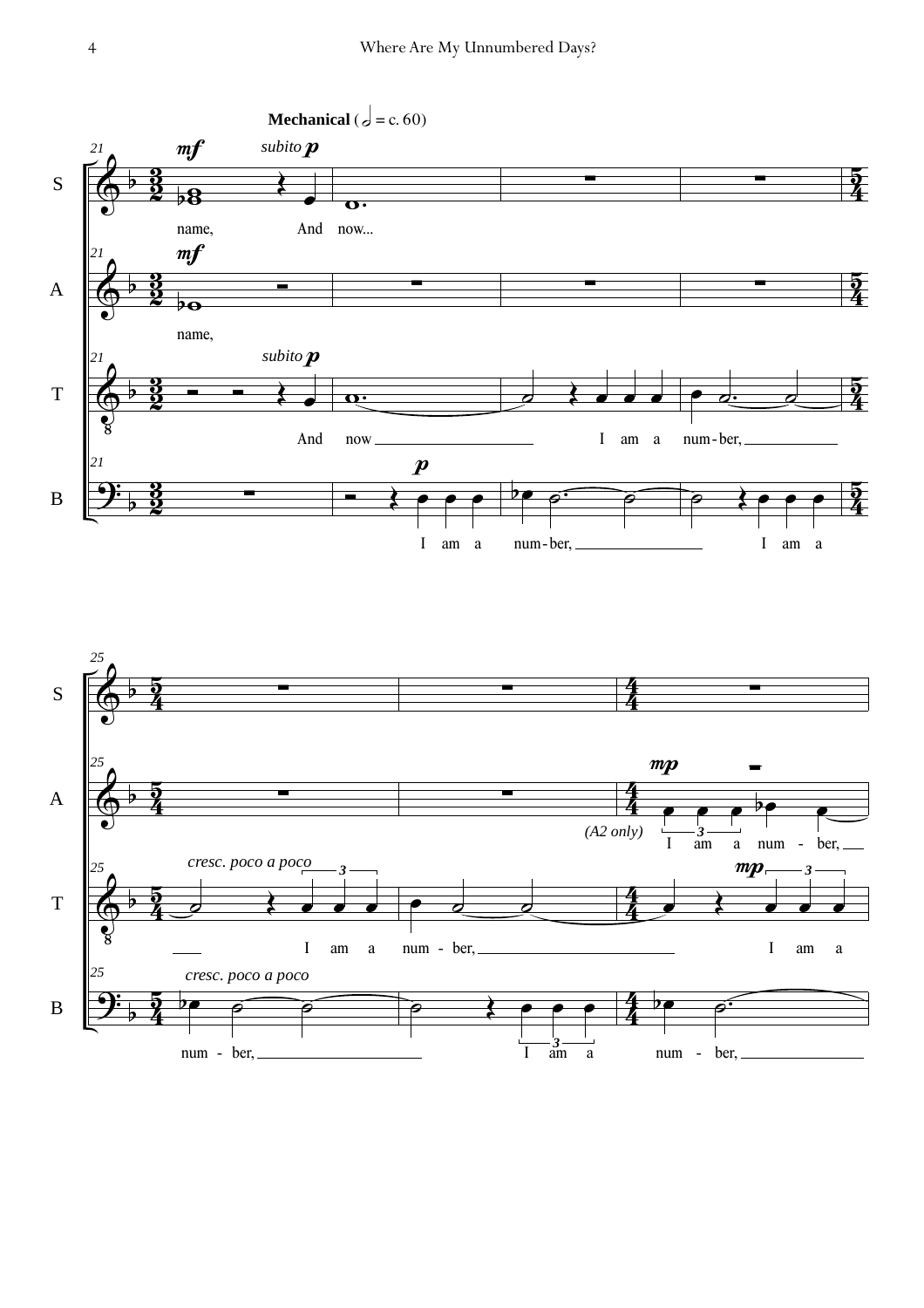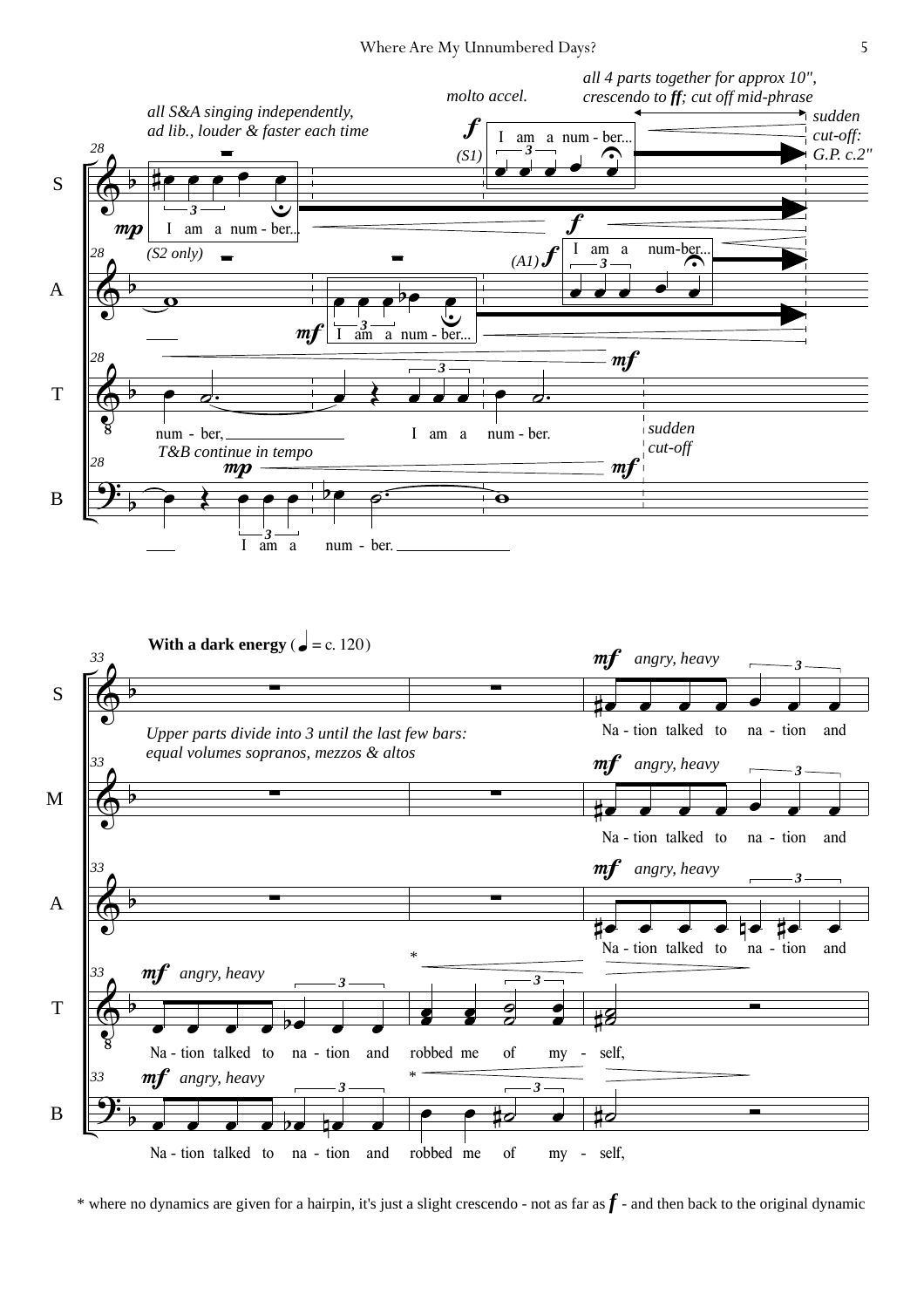

\* where no dynamics are given for a hairpin, it's just a slight crescendo - not as far as  $f$  - and then back to the original dynamic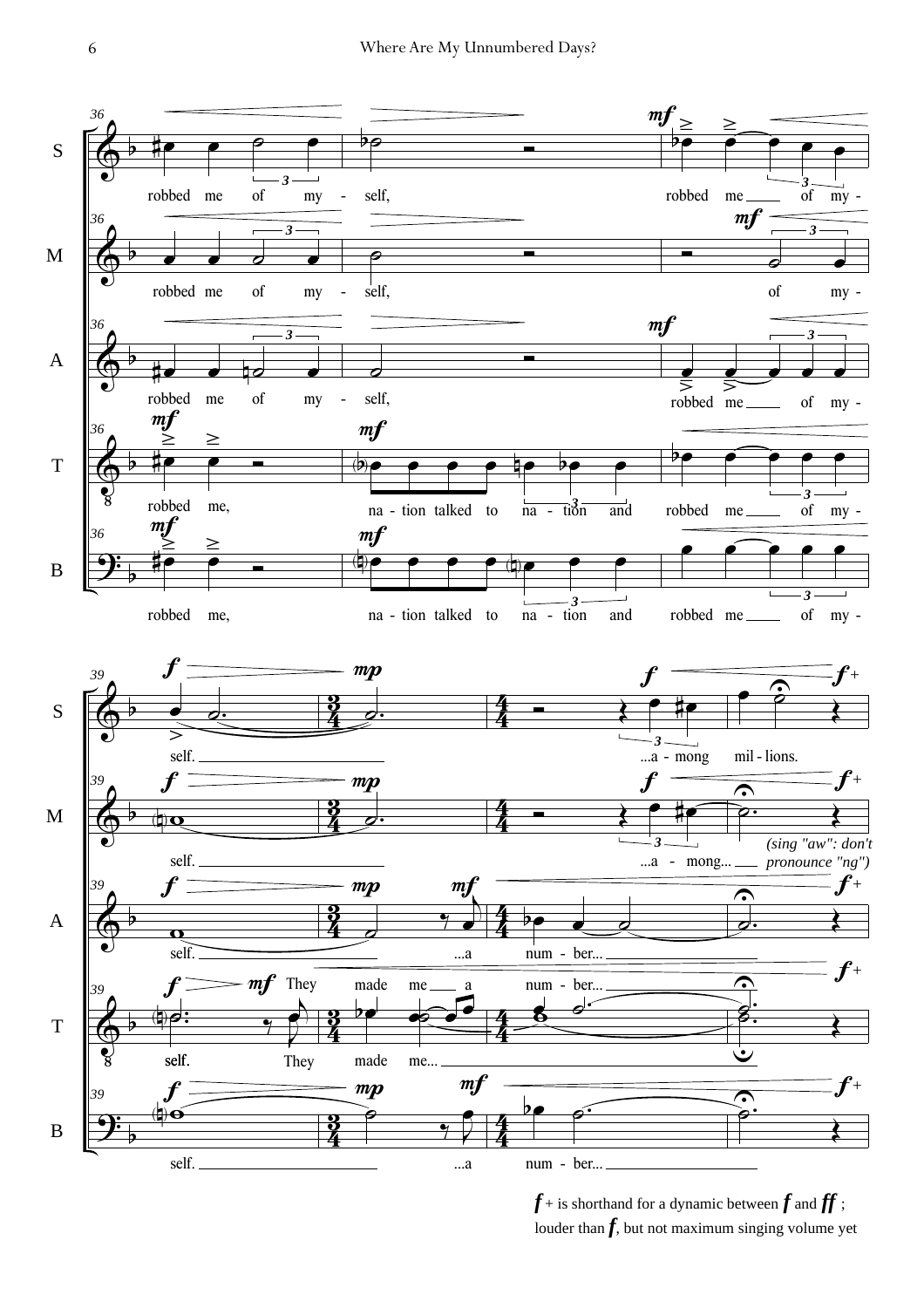

 $f$  + is shorthand for a dynamic between  $f$  and  $ff$  ; louder than  $f$ , but not maximum singing volume yet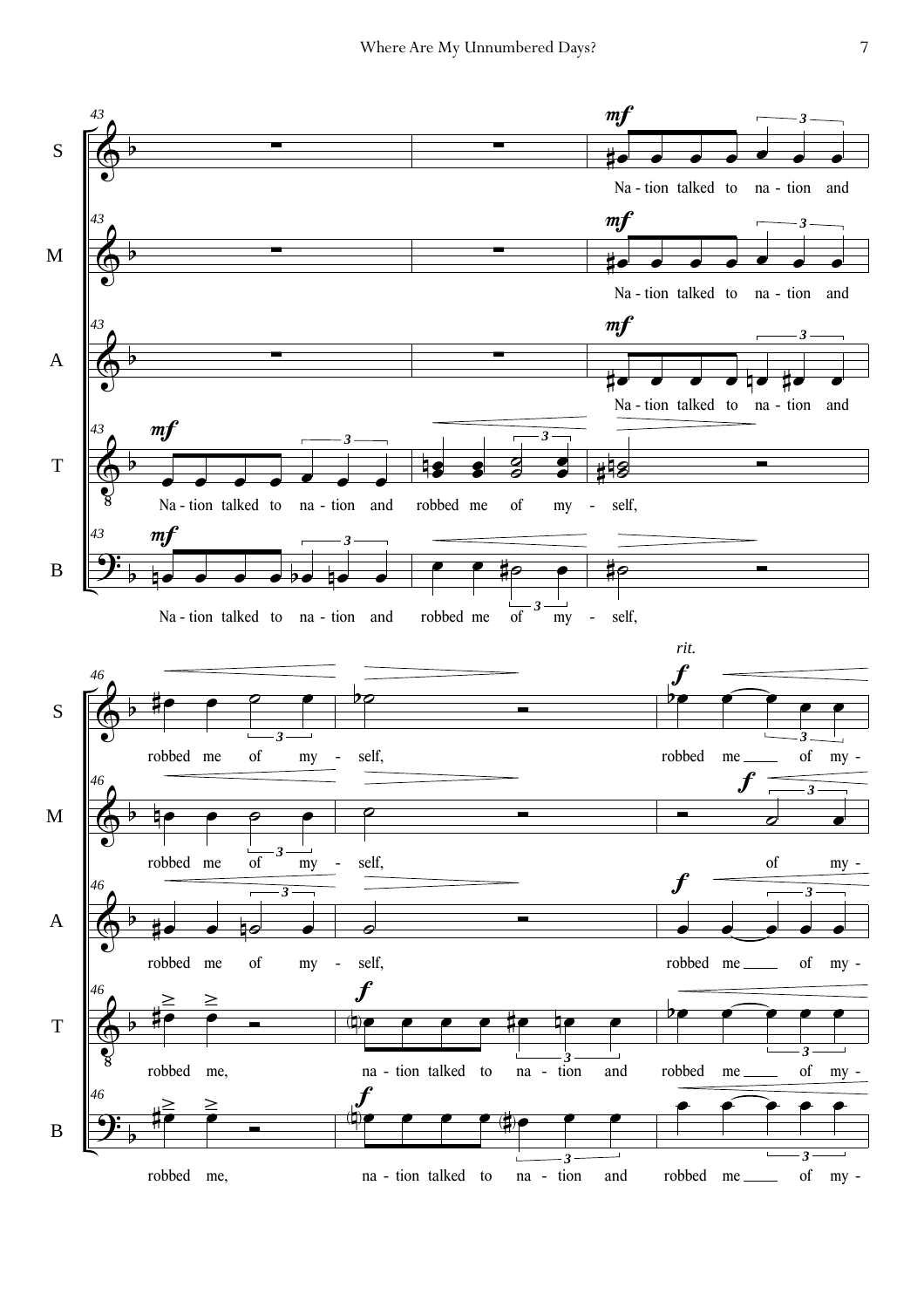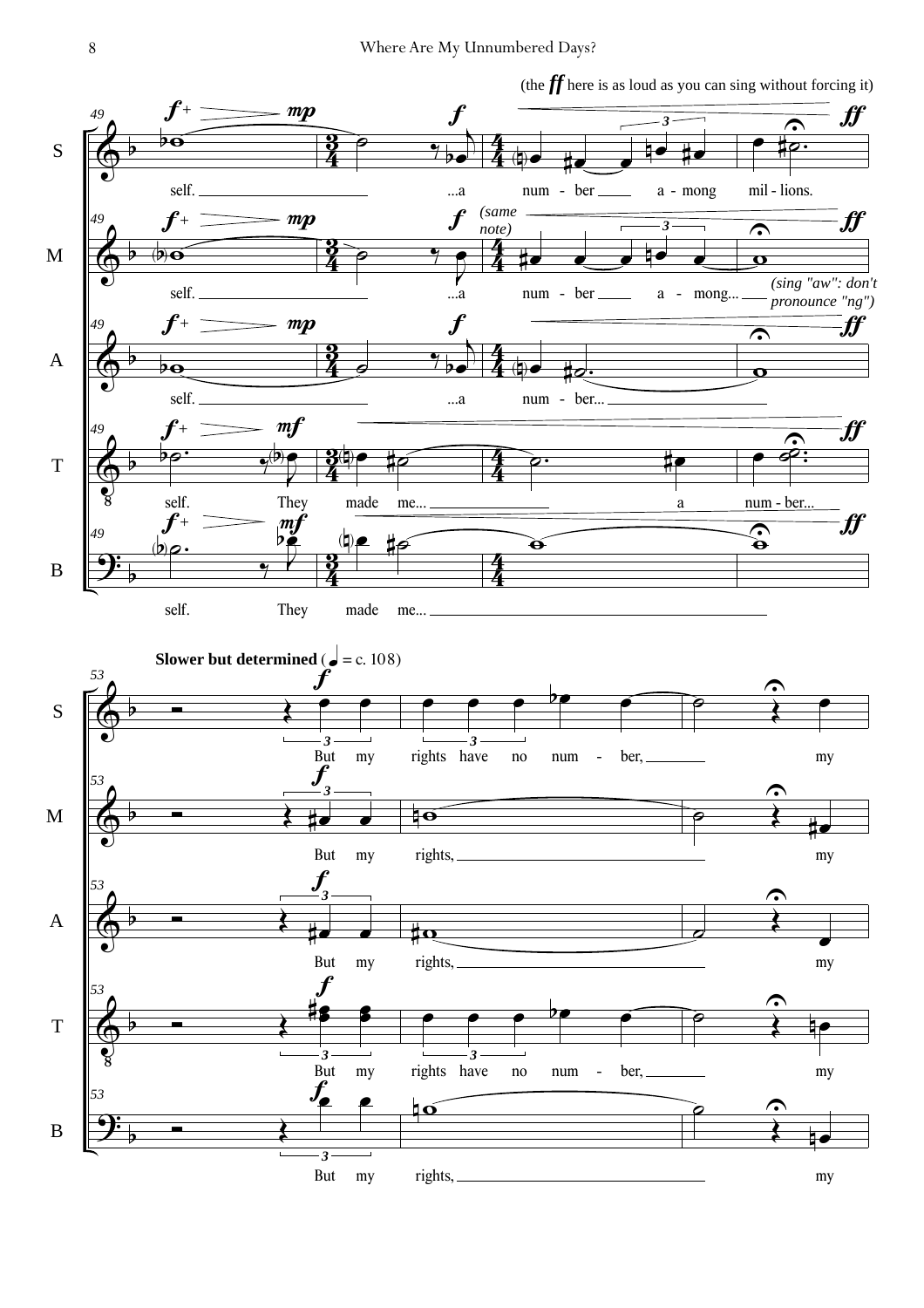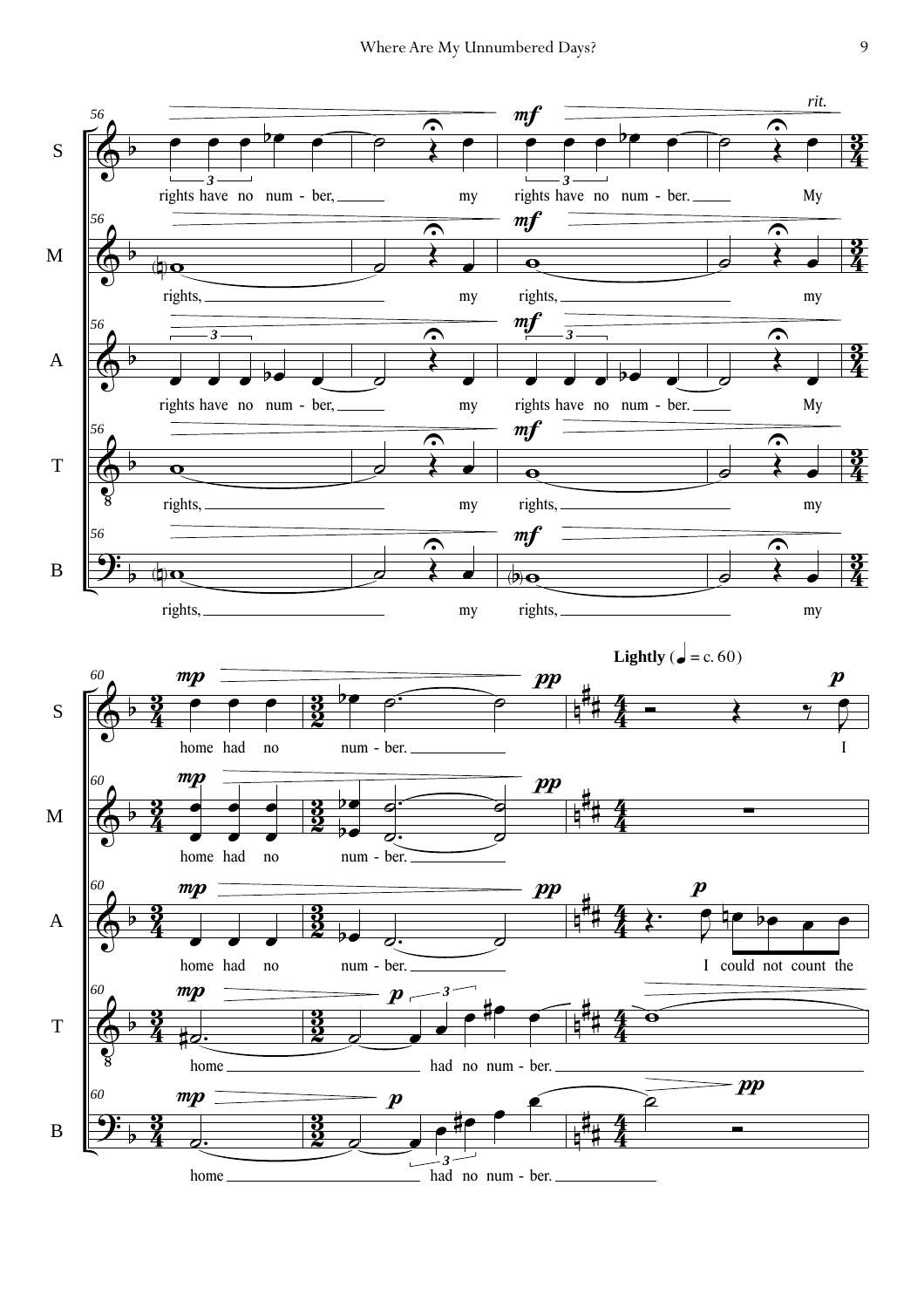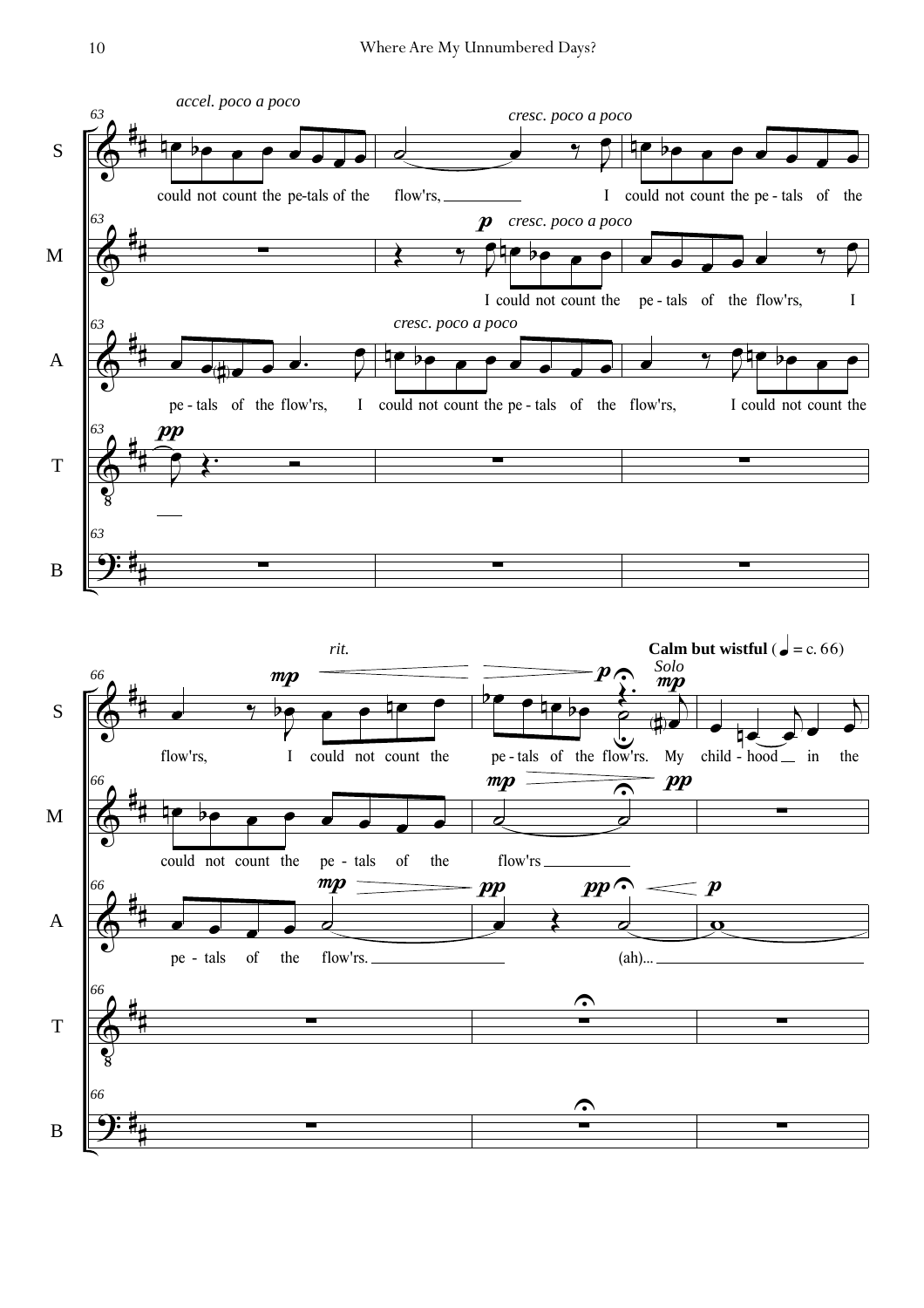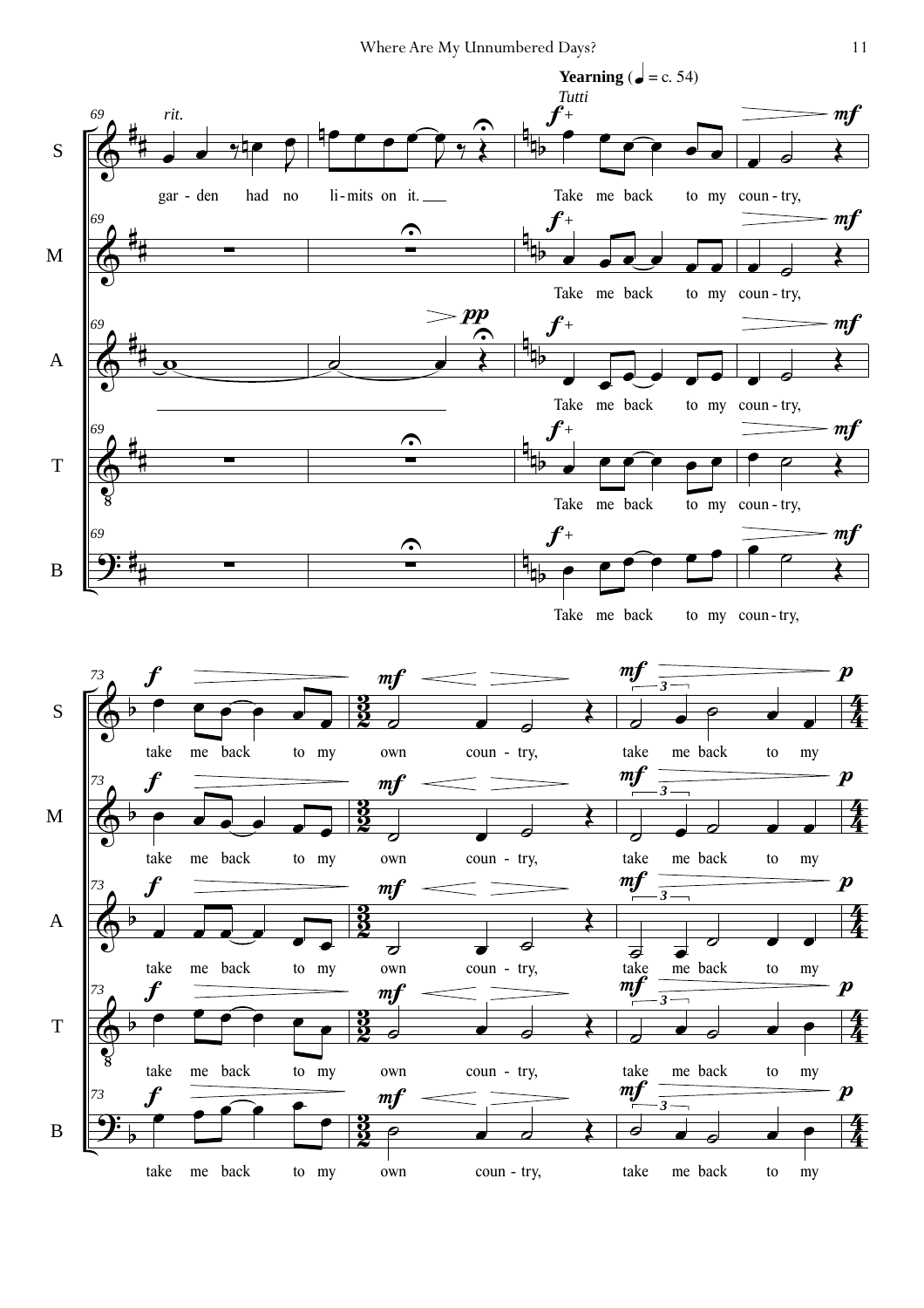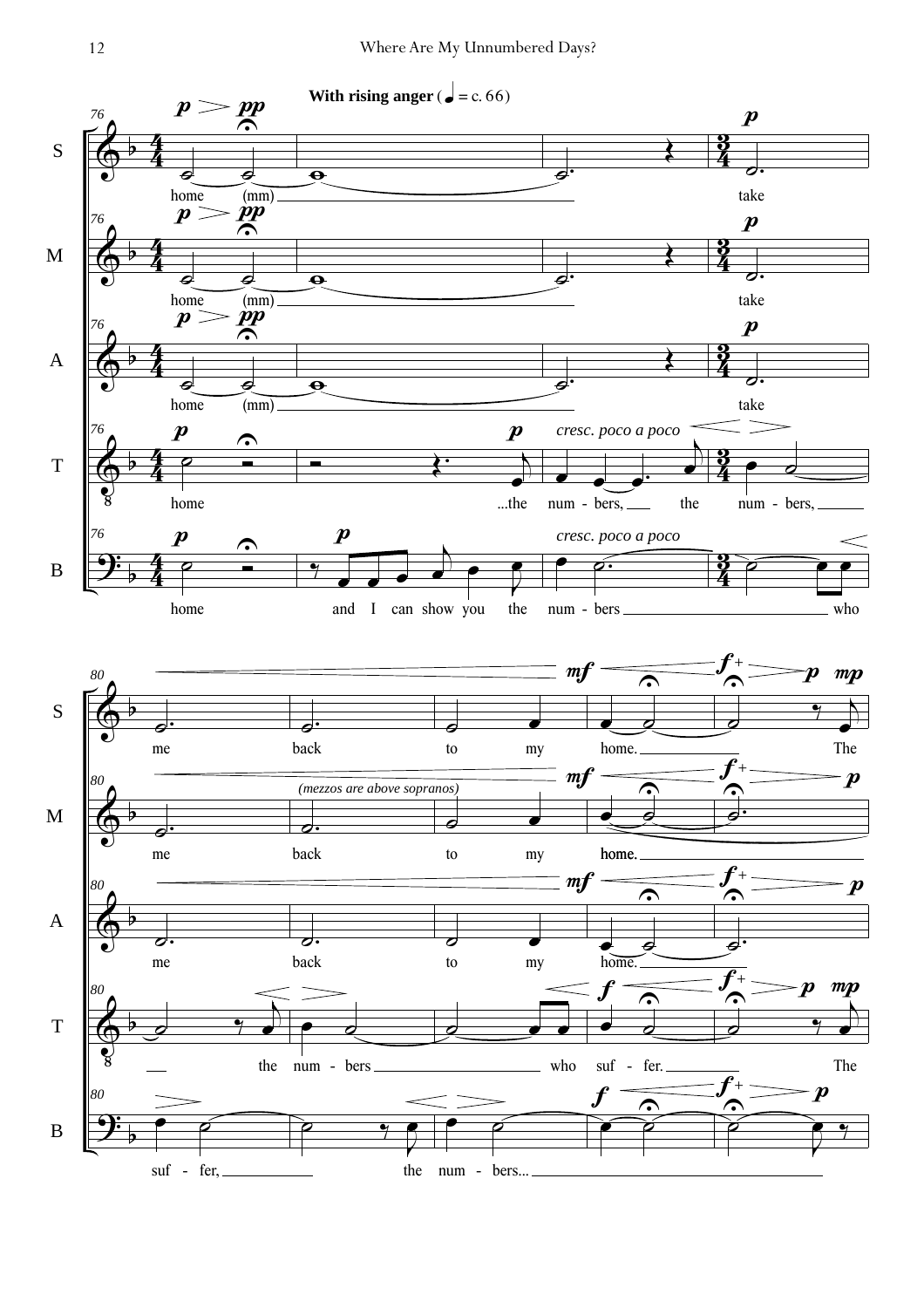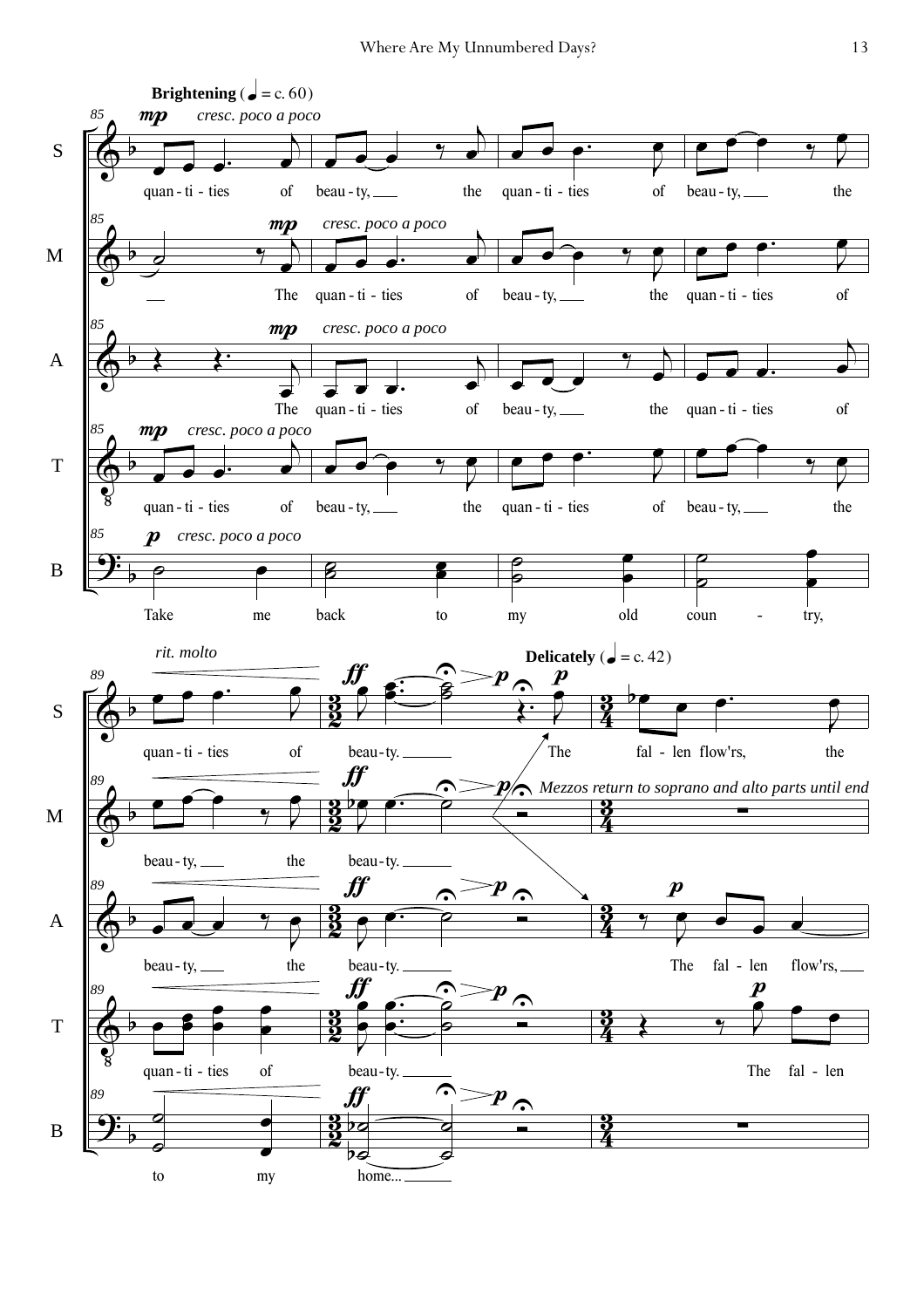